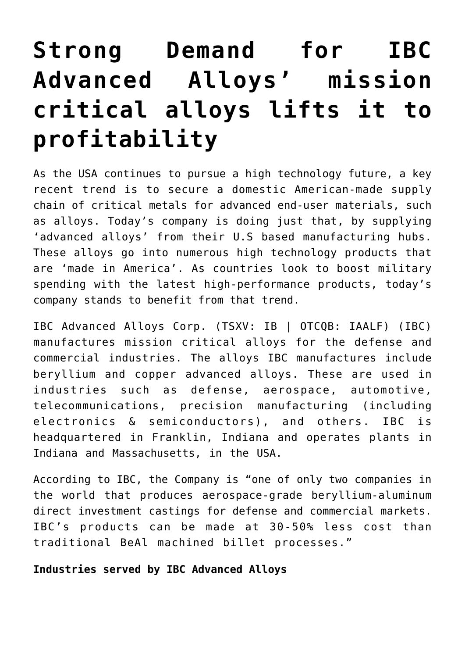# **[Strong Demand for IBC](https://investorintel.com/markets/technology-metals/technology-metals-intel/strong-demand-for-ibc-advanced-alloys-mission-critical-alloys-lifts-it-to-profitability/) [Advanced Alloys' mission](https://investorintel.com/markets/technology-metals/technology-metals-intel/strong-demand-for-ibc-advanced-alloys-mission-critical-alloys-lifts-it-to-profitability/) [critical alloys lifts it to](https://investorintel.com/markets/technology-metals/technology-metals-intel/strong-demand-for-ibc-advanced-alloys-mission-critical-alloys-lifts-it-to-profitability/) [profitability](https://investorintel.com/markets/technology-metals/technology-metals-intel/strong-demand-for-ibc-advanced-alloys-mission-critical-alloys-lifts-it-to-profitability/)**

As the USA continues to pursue a high technology future, a key recent trend is to secure a domestic American-made supply chain of critical metals for advanced end-user materials, such as alloys. Today's company is doing just that, by supplying 'advanced alloys' from their U.S based manufacturing hubs. These alloys go into numerous high technology products that are 'made in America'. As countries look to boost military spending with the latest high-performance products, today's company stands to benefit from that trend.

[IBC Advanced Alloys Corp.](https://ibcadvancedalloys.com/) (TSXV: IB | OTCQB: IAALF) (IBC) manufactures mission critical alloys for the defense and commercial industries. The alloys IBC manufactures include beryllium and copper advanced alloys. These are used in industries such as defense, aerospace, automotive, telecommunications, precision manufacturing (including electronics & semiconductors), and others. IBC is headquartered in Franklin, Indiana and operates plants in Indiana and Massachusetts, in the USA.

[According to IBC](https://ibcadvancedalloys.com/wp-content/uploads/2022/03/IBC_Advanced_Alloys_Presentation_2022.pdf), the Company is "one of only two companies in the world that produces aerospace-grade beryllium-aluminum direct investment castings for defense and commercial markets. IBC's products can be made at 30-50% less cost than traditional BeAl machined billet processes."

### **Industries served by IBC Advanced Alloys**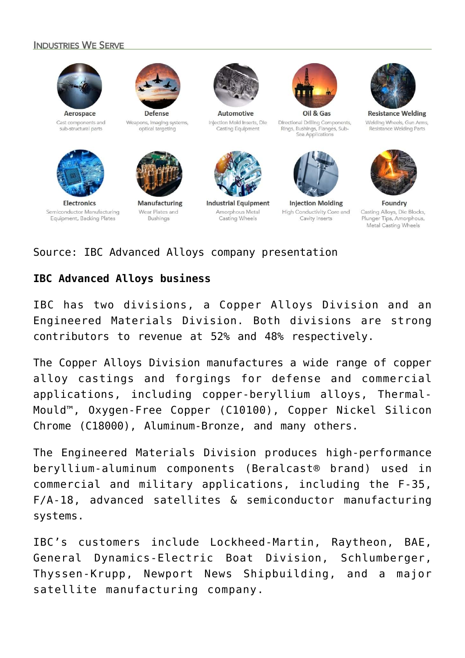#### **INDUSTRIES WE SERVE**



Cast components and

sub-structural parts



Defense Weapons, imaging systems, optical targeting



**Electronics** Semiconductor Manufacturing Equipment, Backing Plates



Wear Plates and **Bushings** 



Automotive Injection Mold Inserts, Die Casting Equipment



**Industrial Equipment** Amorphous Metal Casting Wheels



Directional Drilling Components, Rings, Bushings, Flanges, Sub-Sea Applications



**Injection Molding** High Conductivity Core and Cavity Inserts



**Resistance Welding** Welding Wheels, Gun Arms, Resistance Welding Parts



Foundry Casting Alloys, Die Blocks, Plunger Tips, Amorphous, Metal Casting Wheels

### Source: [IBC Advanced Alloys company presentation](https://ibcadvancedalloys.com/wp-content/uploads/2022/03/IBC_Advanced_Alloys_Presentation_2022.pdf)

## **IBC Advanced Alloys business**

IBC has two divisions, a Copper Alloys Division and an Engineered Materials Division. Both divisions are strong contributors to revenue at 52% and 48% respectively.

The Copper Alloys Division manufactures a wide range of copper alloy castings and forgings for defense and commercial applications, including copper-beryllium alloys, Thermal-Mould™, Oxygen-Free Copper (C10100), Copper Nickel Silicon Chrome (C18000), Aluminum-Bronze, and many others.

The Engineered Materials Division produces high-performance beryllium-aluminum components (Beralcast® brand) used in commercial and military applications, including the F-35, F/A-18, advanced satellites & semiconductor manufacturing systems.

IBC's customers include Lockheed-Martin, Raytheon, BAE, General Dynamics-Electric Boat Division, Schlumberger, Thyssen-Krupp, Newport News Shipbuilding, and a major satellite manufacturing company.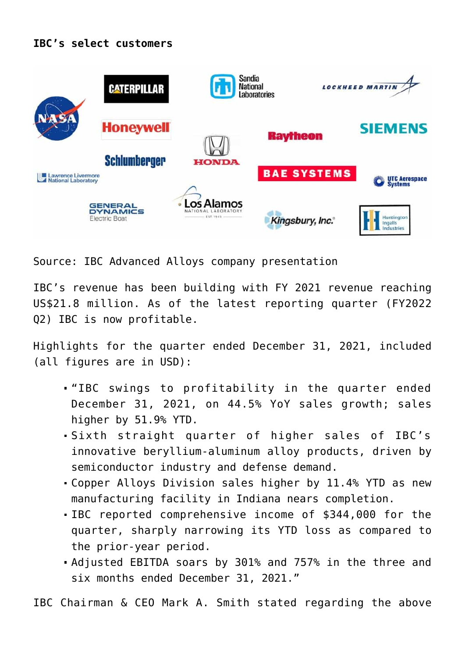# **IBC's select customers**



Source: [IBC Advanced Alloys company presentation](https://ibcadvancedalloys.com/wp-content/uploads/2022/03/IBC_Advanced_Alloys_Presentation_2022.pdf)

IBC's revenue has been building with FY 2021 [revenue](https://ibcadvancedalloys.com/wp-content/uploads/2022/03/IBC_Advanced_Alloys_Presentation_2022.pdf) reaching US\$21.8 million. As of the latest reporting quarter (FY2022 Q2) IBC is now profitable.

[Highlights for the quarter](https://ibcadvancedalloys.com/ibc-advanced-alloys-swings-to-profitability-in-the-quarter-ended-december-31-2021/) ended December 31, 2021, included (all figures are in USD):

- "IBC swings to profitability in the quarter ended December 31, 2021, on 44.5% YoY sales growth; sales higher by 51.9% YTD.
- Sixth straight quarter of higher sales of IBC's innovative beryllium-aluminum alloy products, driven by semiconductor industry and defense demand.
- Copper Alloys Division sales higher by 11.4% YTD as new manufacturing facility in Indiana nears completion.
- IBC reported comprehensive income of \$344,000 for the quarter, sharply narrowing its YTD loss as compared to the prior-year period.
- Adjusted EBITDA soars by 301% and 757% in the three and six months ended December 31, 2021."

IBC Chairman & CEO Mark A. Smith [stated](https://ibcadvancedalloys.com/ibc-advanced-alloys-swings-to-profitability-in-the-quarter-ended-december-31-2021/) regarding the above